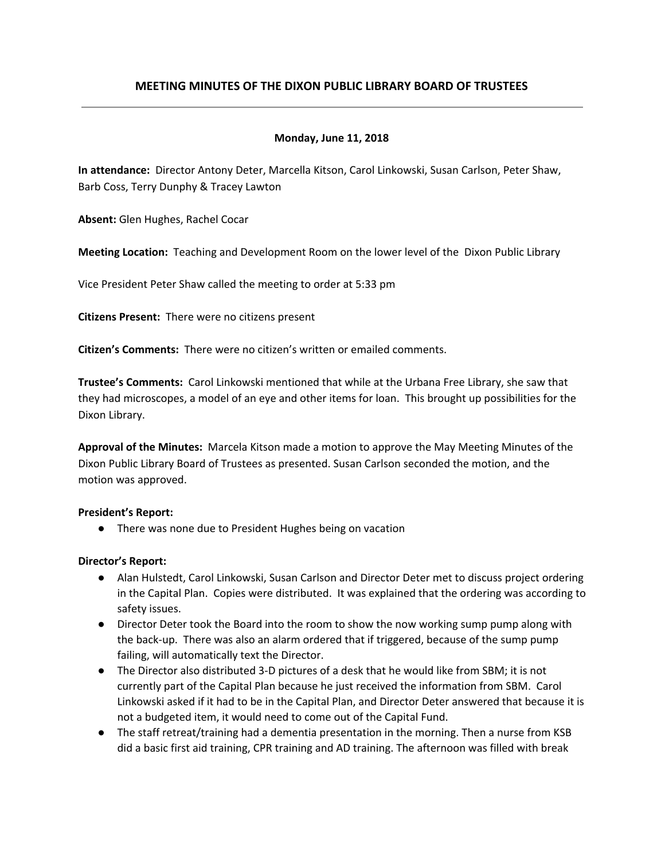# **MEETING MINUTES OF THE DIXON PUBLIC LIBRARY BOARD OF TRUSTEES**

# **Monday, June 11, 2018**

**In attendance:** Director Antony Deter, Marcella Kitson, Carol Linkowski, Susan Carlson, Peter Shaw, Barb Coss, Terry Dunphy & Tracey Lawton

**Absent:** Glen Hughes, Rachel Cocar

**Meeting Location:** Teaching and Development Room on the lower level of the Dixon Public Library

Vice President Peter Shaw called the meeting to order at 5:33 pm

**Citizens Present:** There were no citizens present

**Citizen's Comments:** There were no citizen's written or emailed comments.

**Trustee's Comments:** Carol Linkowski mentioned that while at the Urbana Free Library, she saw that they had microscopes, a model of an eye and other items for loan. This brought up possibilities for the Dixon Library.

**Approval of the Minutes:** Marcela Kitson made a motion to approve the May Meeting Minutes of the Dixon Public Library Board of Trustees as presented. Susan Carlson seconded the motion, and the motion was approved.

#### **President's Report:**

● There was none due to President Hughes being on vacation

#### **Director's Report:**

- Alan Hulstedt, Carol Linkowski, Susan Carlson and Director Deter met to discuss project ordering in the Capital Plan. Copies were distributed. It was explained that the ordering was according to safety issues.
- Director Deter took the Board into the room to show the now working sump pump along with the back-up. There was also an alarm ordered that if triggered, because of the sump pump failing, will automatically text the Director.
- The Director also distributed 3-D pictures of a desk that he would like from SBM; it is not currently part of the Capital Plan because he just received the information from SBM. Carol Linkowski asked if it had to be in the Capital Plan, and Director Deter answered that because it is not a budgeted item, it would need to come out of the Capital Fund.
- The staff retreat/training had a dementia presentation in the morning. Then a nurse from KSB did a basic first aid training, CPR training and AD training. The afternoon was filled with break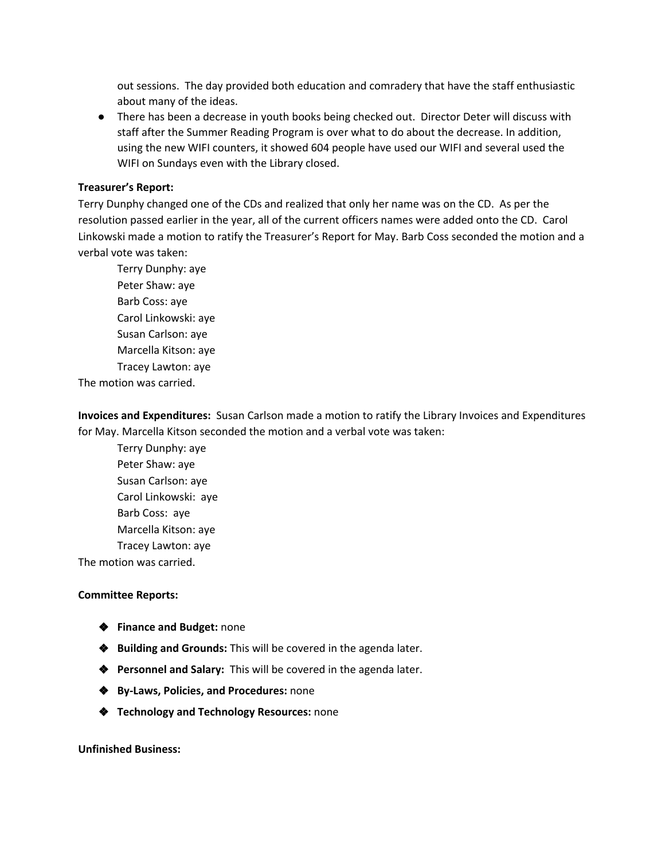out sessions. The day provided both education and comradery that have the staff enthusiastic about many of the ideas.

● There has been a decrease in youth books being checked out. Director Deter will discuss with staff after the Summer Reading Program is over what to do about the decrease. In addition, using the new WIFI counters, it showed 604 people have used our WIFI and several used the WIFI on Sundays even with the Library closed.

# **Treasurer's Report:**

Terry Dunphy changed one of the CDs and realized that only her name was on the CD. As per the resolution passed earlier in the year, all of the current officers names were added onto the CD. Carol Linkowski made a motion to ratify the Treasurer's Report for May. Barb Coss seconded the motion and a verbal vote was taken:

Terry Dunphy: aye Peter Shaw: aye Barb Coss: aye Carol Linkowski: aye Susan Carlson: aye Marcella Kitson: aye Tracey Lawton: aye The motion was carried.

**Invoices and Expenditures:** Susan Carlson made a motion to ratify the Library Invoices and Expenditures for May. Marcella Kitson seconded the motion and a verbal vote was taken:

Terry Dunphy: aye Peter Shaw: aye Susan Carlson: aye Carol Linkowski: aye Barb Coss: aye Marcella Kitson: aye Tracey Lawton: aye

The motion was carried.

# **Committee Reports:**

- ❖ **Finance and Budget:** none
- ❖ **Building and Grounds:** This will be covered in the agenda later.
- ❖ **Personnel and Salary:** This will be covered in the agenda later.
- ❖ **By-Laws, Policies, and Procedures:** none
- ❖ **Technology and Technology Resources:** none

**Unfinished Business:**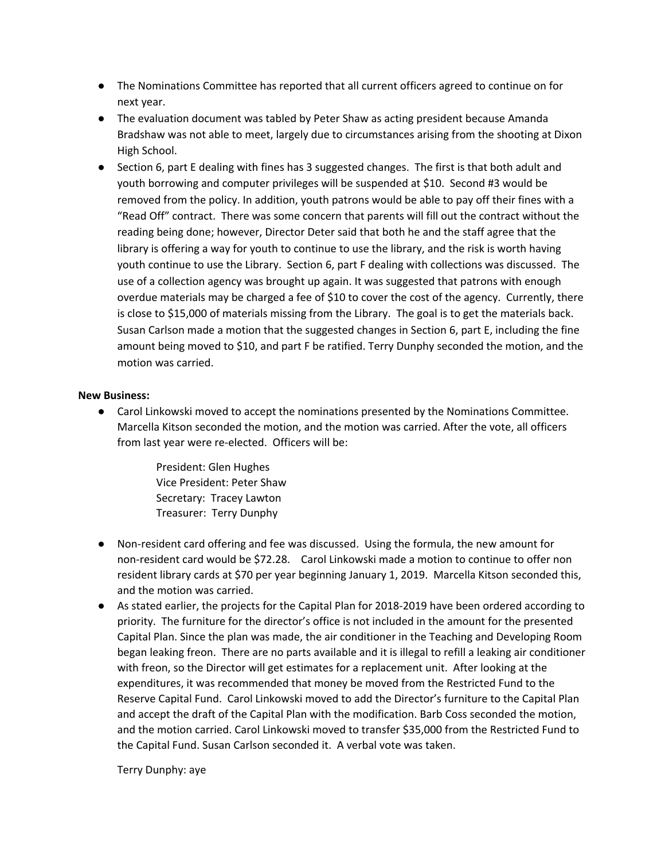- The Nominations Committee has reported that all current officers agreed to continue on for next year.
- The evaluation document was tabled by Peter Shaw as acting president because Amanda Bradshaw was not able to meet, largely due to circumstances arising from the shooting at Dixon High School.
- Section 6, part E dealing with fines has 3 suggested changes. The first is that both adult and youth borrowing and computer privileges will be suspended at \$10. Second #3 would be removed from the policy. In addition, youth patrons would be able to pay off their fines with a "Read Off" contract. There was some concern that parents will fill out the contract without the reading being done; however, Director Deter said that both he and the staff agree that the library is offering a way for youth to continue to use the library, and the risk is worth having youth continue to use the Library. Section 6, part F dealing with collections was discussed. The use of a collection agency was brought up again. It was suggested that patrons with enough overdue materials may be charged a fee of \$10 to cover the cost of the agency. Currently, there is close to \$15,000 of materials missing from the Library. The goal is to get the materials back. Susan Carlson made a motion that the suggested changes in Section 6, part E, including the fine amount being moved to \$10, and part F be ratified. Terry Dunphy seconded the motion, and the motion was carried.

# **New Business:**

- Carol Linkowski moved to accept the nominations presented by the Nominations Committee. Marcella Kitson seconded the motion, and the motion was carried. After the vote, all officers from last year were re-elected. Officers will be:
	- President: Glen Hughes Vice President: Peter Shaw Secretary: Tracey Lawton Treasurer: Terry Dunphy
- Non-resident card offering and fee was discussed. Using the formula, the new amount for non-resident card would be \$72.28. Carol Linkowski made a motion to continue to offer non resident library cards at \$70 per year beginning January 1, 2019. Marcella Kitson seconded this, and the motion was carried.
- As stated earlier, the projects for the Capital Plan for 2018-2019 have been ordered according to priority. The furniture for the director's office is not included in the amount for the presented Capital Plan. Since the plan was made, the air conditioner in the Teaching and Developing Room began leaking freon. There are no parts available and it is illegal to refill a leaking air conditioner with freon, so the Director will get estimates for a replacement unit. After looking at the expenditures, it was recommended that money be moved from the Restricted Fund to the Reserve Capital Fund. Carol Linkowski moved to add the Director's furniture to the Capital Plan and accept the draft of the Capital Plan with the modification. Barb Coss seconded the motion, and the motion carried. Carol Linkowski moved to transfer \$35,000 from the Restricted Fund to the Capital Fund. Susan Carlson seconded it. A verbal vote was taken.

Terry Dunphy: aye